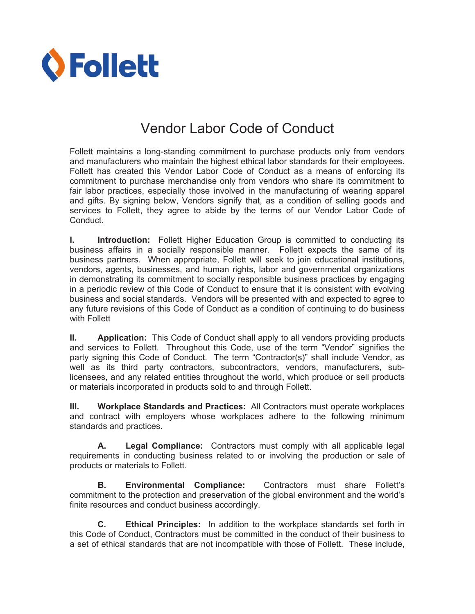

## Vendor Labor Code of Conduct

Follett maintains a long-standing commitment to purchase products only from vendors and manufacturers who maintain the highest ethical labor standards for their employees. Follett has created this Vendor Labor Code of Conduct as a means of enforcing its commitment to purchase merchandise only from vendors who share its commitment to fair labor practices, especially those involved in the manufacturing of wearing apparel and gifts. By signing below, Vendors signify that, as a condition of selling goods and services to Follett, they agree to abide by the terms of our Vendor Labor Code of Conduct.

**I. Introduction:** Follett Higher Education Group is committed to conducting its business affairs in a socially responsible manner. Follett expects the same of its business partners. When appropriate, Follett will seek to join educational institutions, vendors, agents, businesses, and human rights, labor and governmental organizations in demonstrating its commitment to socially responsible business practices by engaging in a periodic review of this Code of Conduct to ensure that it is consistent with evolving business and social standards. Vendors will be presented with and expected to agree to any future revisions of this Code of Conduct as a condition of continuing to do business with Follett

**II. Application:** This Code of Conduct shall apply to all vendors providing products and services to Follett. Throughout this Code, use of the term "Vendor" signifies the party signing this Code of Conduct. The term "Contractor(s)" shall include Vendor, as well as its third party contractors, subcontractors, vendors, manufacturers, sublicensees, and any related entities throughout the world, which produce or sell products or materials incorporated in products sold to and through Follett.

**III. Workplace Standards and Practices:** All Contractors must operate workplaces and contract with employers whose workplaces adhere to the following minimum standards and practices.

**A. Legal Compliance:** Contractors must comply with all applicable legal requirements in conducting business related to or involving the production or sale of products or materials to Follett.

**B. Environmental Compliance:** Contractors must share Follett's commitment to the protection and preservation of the global environment and the world's finite resources and conduct business accordingly.

**C. Ethical Principles:** In addition to the workplace standards set forth in this Code of Conduct, Contractors must be committed in the conduct of their business to a set of ethical standards that are not incompatible with those of Follett. These include,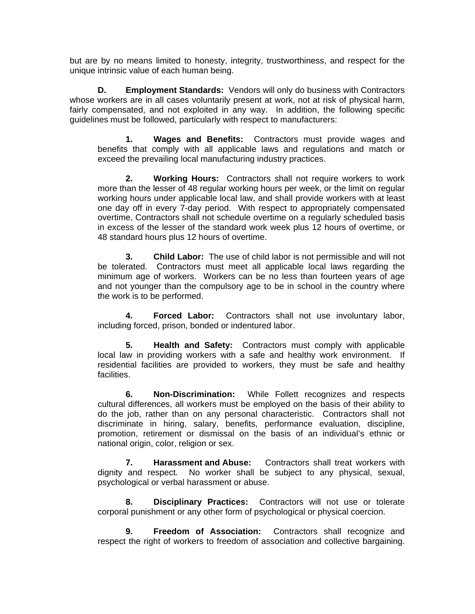but are by no means limited to honesty, integrity, trustworthiness, and respect for the unique intrinsic value of each human being.

**D. Employment Standards:** Vendors will only do business with Contractors whose workers are in all cases voluntarily present at work, not at risk of physical harm, fairly compensated, and not exploited in any way. In addition, the following specific guidelines must be followed, particularly with respect to manufacturers:

 **1. Wages and Benefits:** Contractors must provide wages and benefits that comply with all applicable laws and regulations and match or exceed the prevailing local manufacturing industry practices.

**2. Working Hours:** Contractors shall not require workers to work more than the lesser of 48 regular working hours per week, or the limit on regular working hours under applicable local law, and shall provide workers with at least one day off in every 7-day period. With respect to appropriately compensated overtime, Contractors shall not schedule overtime on a regularly scheduled basis in excess of the lesser of the standard work week plus 12 hours of overtime, or 48 standard hours plus 12 hours of overtime.

 **3. Child Labor:** The use of child labor is not permissible and will not be tolerated. Contractors must meet all applicable local laws regarding the minimum age of workers. Workers can be no less than fourteen years of age and not younger than the compulsory age to be in school in the country where the work is to be performed.

**4. Forced Labor:** Contractors shall not use involuntary labor, including forced, prison, bonded or indentured labor.

**5. Health and Safety:** Contractors must comply with applicable local law in providing workers with a safe and healthy work environment. If residential facilities are provided to workers, they must be safe and healthy facilities.

**6. Non-Discrimination:** While Follett recognizes and respects cultural differences, all workers must be employed on the basis of their ability to do the job, rather than on any personal characteristic. Contractors shall not discriminate in hiring, salary, benefits, performance evaluation, discipline, promotion, retirement or dismissal on the basis of an individual's ethnic or national origin, color, religion or sex.

**7. Harassment and Abuse:** Contractors shall treat workers with dignity and respect. No worker shall be subject to any physical, sexual, psychological or verbal harassment or abuse.

**8. Disciplinary Practices:** Contractors will not use or tolerate corporal punishment or any other form of psychological or physical coercion.

**9. Freedom of Association:** Contractors shall recognize and respect the right of workers to freedom of association and collective bargaining.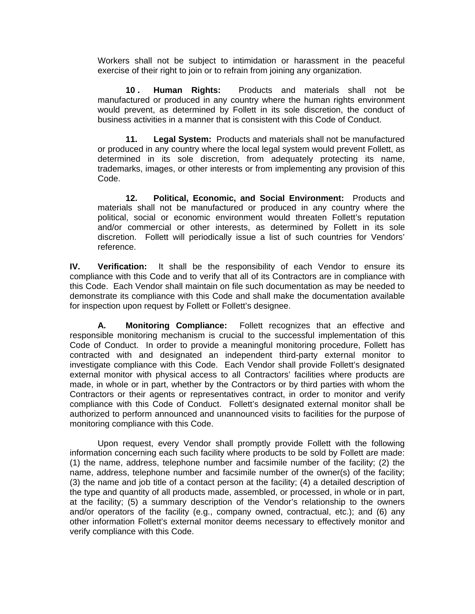Workers shall not be subject to intimidation or harassment in the peaceful exercise of their right to join or to refrain from joining any organization.

**10 . Human Rights:** Products and materials shall not be manufactured or produced in any country where the human rights environment would prevent, as determined by Follett in its sole discretion, the conduct of business activities in a manner that is consistent with this Code of Conduct.

**11. Legal System:** Products and materials shall not be manufactured or produced in any country where the local legal system would prevent Follett, as determined in its sole discretion, from adequately protecting its name, trademarks, images, or other interests or from implementing any provision of this Code.

**12. Political, Economic, and Social Environment:** Products and materials shall not be manufactured or produced in any country where the political, social or economic environment would threaten Follett's reputation and/or commercial or other interests, as determined by Follett in its sole discretion. Follett will periodically issue a list of such countries for Vendors' reference.

**IV. Verification:** It shall be the responsibility of each Vendor to ensure its compliance with this Code and to verify that all of its Contractors are in compliance with this Code. Each Vendor shall maintain on file such documentation as may be needed to demonstrate its compliance with this Code and shall make the documentation available for inspection upon request by Follett or Follett's designee.

**A***.* **Monitoring Compliance:** Follett recognizes that an effective and responsible monitoring mechanism is crucial to the successful implementation of this Code of Conduct. In order to provide a meaningful monitoring procedure, Follett has contracted with and designated an independent third-party external monitor to investigate compliance with this Code. Each Vendor shall provide Follett's designated external monitor with physical access to all Contractors' facilities where products are made, in whole or in part, whether by the Contractors or by third parties with whom the Contractors or their agents or representatives contract, in order to monitor and verify compliance with this Code of Conduct. Follett's designated external monitor shall be authorized to perform announced and unannounced visits to facilities for the purpose of monitoring compliance with this Code.

Upon request, every Vendor shall promptly provide Follett with the following information concerning each such facility where products to be sold by Follett are made: (1) the name, address, telephone number and facsimile number of the facility; (2) the name, address, telephone number and facsimile number of the owner(s) of the facility; (3) the name and job title of a contact person at the facility; (4) a detailed description of the type and quantity of all products made, assembled, or processed, in whole or in part, at the facility; (5) a summary description of the Vendor's relationship to the owners and/or operators of the facility (e.g., company owned, contractual, etc.); and (6) any other information Follett's external monitor deems necessary to effectively monitor and verify compliance with this Code.